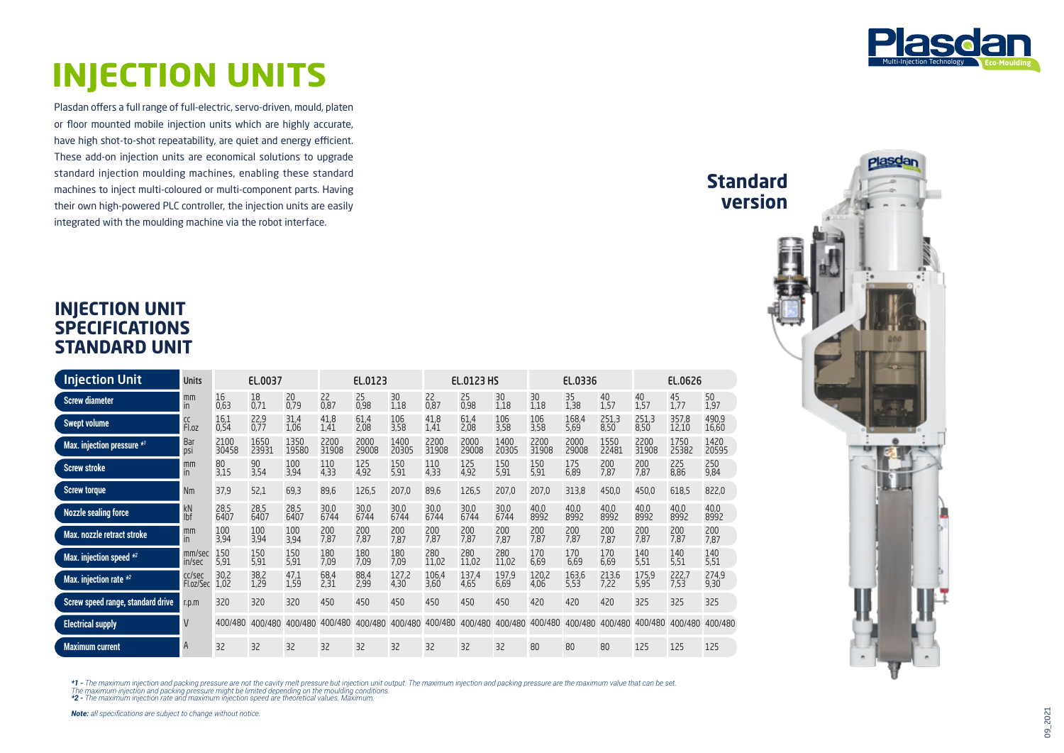

**Standard version**

## **INJECTION UNITS**

Plasdan offers a full range of full-electric, servo-driven, mould, platen or floor mounted mobile injection units which are highly accurate, have high shot-to-shot repeatability, are quiet and energy efficient. These add-on injection units are economical solutions to upgrade standard injection moulding machines, enabling these standard machines to inject multi-coloured or multi-component parts. Having their own high-powered PLC controller, the injection units are easily integrated with the moulding machine via the robot interface.

## **INJECTION UNIT SPECIFICATIONS STANDARD UNIT**

| <b>Injection Unit</b>                  | <b>Units</b>             | EL.0037       |               |               | EL.0123       |               |               | <b>EL.0123 HS</b> |               |               | EL.0336       |               | EL.0626       |               |                |                |
|----------------------------------------|--------------------------|---------------|---------------|---------------|---------------|---------------|---------------|-------------------|---------------|---------------|---------------|---------------|---------------|---------------|----------------|----------------|
| <b>Screw diameter</b>                  | mm<br>in.                | 16<br>0,63    | 18<br>0,71    | 20<br>0,79    | 22<br>0,87    | 25<br>0,98    | 30<br>1,18    | 22<br>0,87        | 25<br>0,98    | 30<br>1,18    | 30<br>1,18    | 35<br>1,38    | 40<br>1,57    | 40<br>1,57    | 45<br>1,77     | 50<br>1,97     |
| <b>Swept volume</b>                    | CC<br>Fl.oz              | 16,1<br>0,54  | 22,9<br>0,77  | 31,4<br>1,06  | 41,8<br>1,41  | 61,4<br>2,08  | 106<br>3,58   | 41,8<br>1,41      | 61,4<br>2,08  | 106<br>3,58   | 106<br>3,58   | 168.4<br>5,69 | 251,3<br>8,50 | 251.3<br>8,50 | 357.8<br>12,10 | 490.9<br>16,60 |
| Max. injection pressure * <sup>1</sup> | Bar<br>DSİ               | 2100<br>30458 | 1650<br>23931 | 1350<br>19580 | 2200<br>31908 | 2000<br>29008 | 1400<br>20305 | 2200<br>31908     | 2000<br>29008 | 1400<br>20305 | 2200<br>31908 | 2000<br>29008 | 1550<br>22481 | 2200<br>31908 | 1750<br>25382  | 1420<br>20595  |
| <b>Screw stroke</b>                    | mm<br>in                 | 80<br>3,15    | 90<br>3,54    | 100<br>3,94   | 110<br>4,33   | 125<br>4,92   | 150<br>5,91   | 110<br>4,33       | 125<br>4,92   | 150<br>5,91   | 150<br>5,91   | 175<br>6,89   | 200<br>7.87   | 200<br>7.87   | 225<br>8,86    | 250<br>9,84    |
| <b>Screw torque</b>                    | Nm                       | 37,9          | 52,1          | 69,3          | 89,6          | 126,5         | 207,0         | 89,6              | 126,5         | 207,0         | 207,0         | 313,8         | 450,0         | 450,0         | 618,5          | 822,0          |
| <b>Nozzle sealing force</b>            | kN<br>lbf                | 28,5<br>6407  | 28,5<br>6407  | 28,5<br>6407  | 30,0<br>6744  | 30,0<br>6744  | 30,0<br>6744  | 30,0<br>6744      | 30,0<br>6744  | 30,0<br>6744  | 40,0<br>8992  | 40,0<br>8992  | 40,0<br>8992  | 40,0<br>8992  | 40,0<br>8992   | 40,0<br>8992   |
| Max. nozzle retract stroke             | mm<br>in.                | 100<br>3,94   | 100<br>3,94   | 100<br>3,94   | 200<br>7,87   | 200<br>7,87   | 200<br>7,87   | 200<br>7,87       | 200<br>7,87   | 200<br>7,87   | 200<br>7,87   | 200<br>7,87   | 200<br>7,87   | 200<br>7,87   | 200<br>7,87    | 200<br>7,87    |
| Max. injection speed *2                | mm/sec<br>in/sec         | 150<br>5,91   | 150<br>5,91   | 150<br>5,91   | 180<br>7,09   | 180<br>7,09   | 180<br>7,09   | 280<br>11,02      | 280<br>11,02  | 280<br>11,02  | 170<br>6,69   | 170<br>6,69   | 170<br>6,69   | 140<br>5,51   | 140<br>5,51    | 140<br>5,51    |
| Max. injection rate *2                 | cc/sec<br>Fl.oz/Sec 1,02 | 30,2          | 38,2<br>1,29  | 47,1<br>1,59  | 68,4<br>2,31  | 88,4<br>2,99  | 127,2<br>4,30 | 106,4<br>3,60     | 137,4<br>4,65 | 197,9<br>6,69 | 120,2<br>4,06 | 163,6<br>5,53 | 213.6<br>7,22 | 175,9<br>5,95 | 222,7<br>7,53  | 274,9<br>9,30  |
| Screw speed range, standard drive      | r.p.m                    | 320           | 320           | 320           | 450           | 450           | 450           | 450               | 450           | 450           | 420           | 420           | 420           | 325           | 325            | 325            |
| <b>Electrical supply</b>               | $\mathsf{V}$             | 400/480       | 400/480       | 400/480       | 400/480       | 400/480       | 400/480       | 400/480           | 400/480       | 400/480       | 400/480       | 400/480       | 400/480       | 400/480       | 400/480        | 400/480        |
| <b>Maximum current</b>                 | $\overline{A}$           | 32            | 32            | 32            | 32            | 32            | 32            | 32                | 32            | 32            | 80            | 80            | 80            | 125           | 125            | 125            |

\*1 - The maximum injection and packing pressure are not the cavity melt pressure but injection unit output. The maximum injection and packing pressure are the maximum value that can be set.<br>The maximum injection and packin

*Note: all specifications are subject to change without notice.*

09\_2021